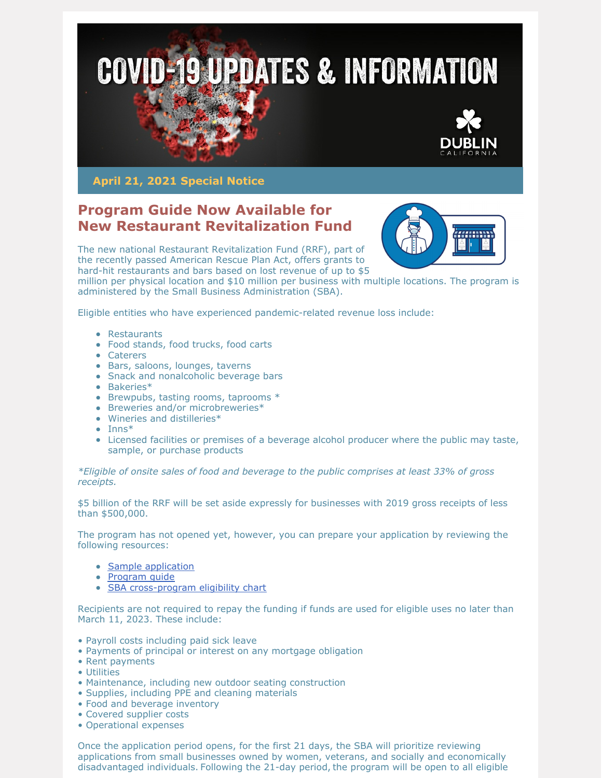

**April 21, 2021 Special Notice**

## **Program Guide Now Available for New Restaurant Revitalization Fund**



The new national Restaurant Revitalization Fund (RRF), part of the recently passed American Rescue Plan Act, offers grants to hard-hit restaurants and bars based on lost revenue of up to \$5

million per physical location and \$10 million per business with multiple locations. The program is administered by the Small Business Administration (SBA).

Eligible entities who have experienced pandemic-related revenue loss include:

- Restaurants
- Food stands, food trucks, food carts
- Caterers
- Bars, saloons, lounges, taverns
- Snack and nonalcoholic beverage bars
- Bakeries\*
- Brewpubs, tasting rooms, taprooms \*
- Breweries and/or microbreweries\*
- Wineries and distilleries\*
- $\bullet$  Inns\*
- Licensed facilities or premises of a beverage alcohol producer where the public may taste, sample, or purchase products

*\*Eligible of onsite sales of food and beverage to the public comprises at least 33% of gross receipts.*

\$5 billion of the RRF will be set aside expressly for businesses with 2019 gross receipts of less than \$500,000.

The program has not opened yet, however, you can prepare your application by reviewing the following resources:

- Sample [application](https://lnks.gd/l/eyJhbGciOiJIUzI1NiJ9.eyJidWxsZXRpbl9saW5rX2lkIjoxMDMsInVyaSI6ImJwMjpjbGljayIsImJ1bGxldGluX2lkIjoiMjAyMTA0MTcuMzg5NzEyMDEiLCJ1cmwiOiJodHRwczovL3d3dy5zYmEuZ292L2RvY3VtZW50L3NiYS1mb3JtLTMxNzItcmVzdGF1cmFudC1yZXZpdGFsaXphdGlvbi1mdW5kaW5nLWFwcGxpY2F0aW9uLXNhbXBsZT91dG1fbWVkaXVtPWVtYWlsJnV0bV9zb3VyY2U9Z292ZGVsaXZlcnkifQ.zPZp6tS7Kds7TXEDkk7CasbSb1sGtkJbbv-rwBJhXkk/s/908094398/br/102652670479-l)
- [Program](https://lnks.gd/l/eyJhbGciOiJIUzI1NiJ9.eyJidWxsZXRpbl9saW5rX2lkIjoxMDQsInVyaSI6ImJwMjpjbGljayIsImJ1bGxldGluX2lkIjoiMjAyMTA0MTcuMzg5NzEyMDEiLCJ1cmwiOiJodHRwczovL3d3dy5zYmEuZ292L2RvY3VtZW50L3N1cHBvcnQtcmVzdGF1cmFudC1yZXZpdGFsaXphdGlvbi1mdW5kaW5nLXByb2dyYW0tZ3VpZGU_dXRtX21lZGl1bT1lbWFpbCZ1dG1fc291cmNlPWdvdmRlbGl2ZXJ5In0.PLlQXTQKLhmVqYpbQQxxBd0V1sZut3cqpXXe7qHdHxs/s/908094398/br/102652670479-l) guide
- SBA [cross-program](https://lnks.gd/l/eyJhbGciOiJIUzI1NiJ9.eyJidWxsZXRpbl9saW5rX2lkIjoxMDUsInVyaSI6ImJwMjpjbGljayIsImJ1bGxldGluX2lkIjoiMjAyMTA0MTcuMzg5NzEyMDEiLCJ1cmwiOiJodHRwczovL3d3dy5zYmEuZ292L2Z1bmRpbmctcHJvZ3JhbXMvbG9hbnMvY292aWQtMTktcmVsaWVmLW9wdGlvbnMvY3Jvc3MtcHJvZ3JhbS1lbGlnaWJpbGl0eS1zYmEtY292aWQtMTktcmVsaWVmLW9wdGlvbnM_dXRtX21lZGl1bT1lbWFpbCZ1dG1fc291cmNlPWdvdmRlbGl2ZXJ5In0.suvbcBN7RJReOf1s6RHkYwhhORIELL6eMZ8aIpTTCqM/s/908094398/br/102652670479-l) eligibility chart

Recipients are not required to repay the funding if funds are used for eligible uses no later than March 11, 2023. These include:

- Payroll costs including paid sick leave
- Payments of principal or interest on any mortgage obligation
- Rent payments
- Utilities
- Maintenance, including new outdoor seating construction
- Supplies, including PPE and cleaning materials
- Food and beverage inventory
- Covered supplier costs
- Operational expenses

Once the application period opens, for the first 21 days, the SBA will prioritize reviewing applications from small businesses owned by women, veterans, and socially and economically disadvantaged individuals. Following the 21-day period, the program will be open to all eligible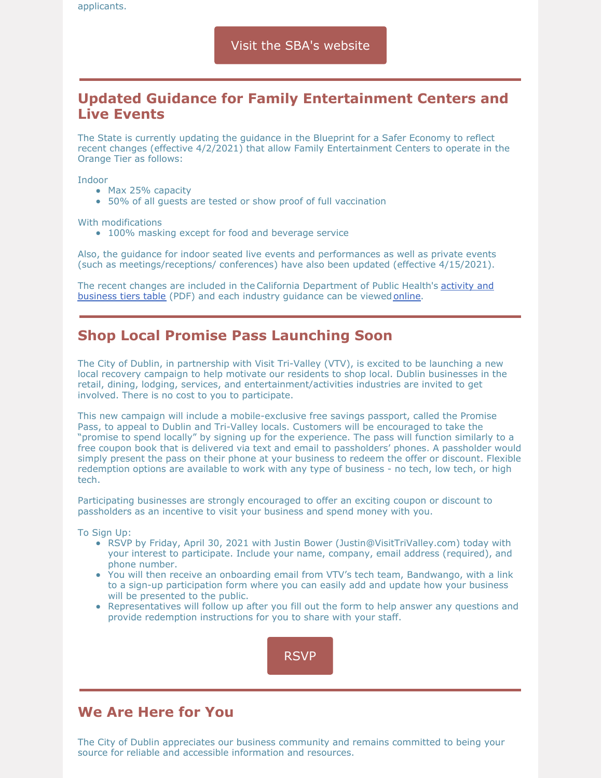## **Updated Guidance for Family Entertainment Centers and Live Events**

The State is currently updating the guidance in the Blueprint for a Safer Economy to reflect recent changes (effective 4/2/2021) that allow Family Entertainment Centers to operate in the Orange Tier as follows:

Indoor

- Max 25% capacity
- 50% of all guests are tested or show proof of full vaccination

With modifications

• 100% masking except for food and beverage service

Also, the guidance for indoor seated live events and performances as well as private events (such as meetings/receptions/ conferences) have also been updated (effective 4/15/2021).

The recent changes are included in the California [Department](https://www.cdph.ca.gov/Programs/CID/DCDC/CDPH Document Library/COVID-19/Dimmer-Framework-September_2020.pdf) of Public Health's activity and business tiers table (PDF) and each industry guidance can be viewed [online](https://covid19.ca.gov/industry-guidance/#statewide-guidance).

## **Shop Local Promise Pass Launching Soon**

The City of Dublin, in partnership with Visit Tri-Valley (VTV), is excited to be launching a new local recovery campaign to help motivate our residents to shop local. Dublin businesses in the retail, dining, lodging, services, and entertainment/activities industries are invited to get involved. There is no cost to you to participate.

This new campaign will include a mobile-exclusive free savings passport, called the Promise Pass, to appeal to Dublin and Tri-Valley locals. Customers will be encouraged to take the "promise to spend locally" by signing up for the experience. The pass will function similarly to a free coupon book that is delivered via text and email to passholders' phones. A passholder would simply present the pass on their phone at your business to redeem the offer or discount. Flexible redemption options are available to work with any type of business - no tech, low tech, or high tech.

Participating businesses are strongly encouraged to offer an exciting coupon or discount to passholders as an incentive to visit your business and spend money with you.

To Sign Up:

- RSVP by Friday, April 30, 2021 with Justin Bower (Justin@VisitTriValley.com) today with your interest to participate. Include your name, company, email address (required), and phone number.
- You will then receive an onboarding email from VTV's tech team, Bandwango, with a link to a sign-up participation form where you can easily add and update how your business will be presented to the public.
- Representatives will follow up after you fill out the form to help answer any questions and provide redemption instructions for you to share with your staff.



## **We Are Here for You**

The City of Dublin appreciates our business community and remains committed to being your source for reliable and accessible information and resources.